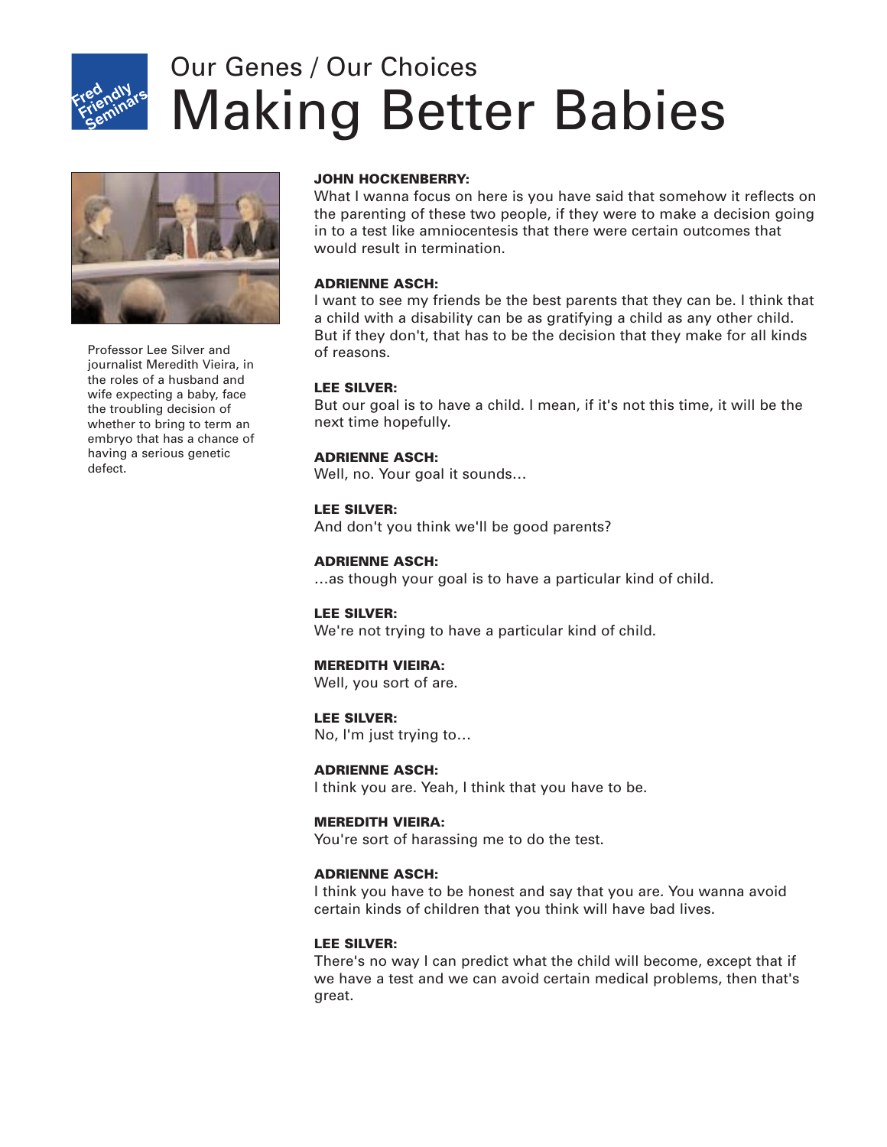

# Making Better Babies Our Genes / Our Choices



Professor Lee Silver and journalist Meredith Vieira, in the roles of a husband and wife expecting a baby, face the troubling decision of whether to bring to term an embryo that has a chance of having a serious genetic defect.

# **JOHN HOCKENBERRY:**

What I wanna focus on here is you have said that somehow it reflects on the parenting of these two people, if they were to make a decision going in to a test like amniocentesis that there were certain outcomes that would result in termination.

# **ADRIENNE ASCH:**

I want to see my friends be the best parents that they can be. I think that a child with a disability can be as gratifying a child as any other child. But if they don't, that has to be the decision that they make for all kinds of reasons.

# **LEE SILVER:**

But our goal is to have a child. I mean, if it's not this time, it will be the next time hopefully.

# **ADRIENNE ASCH:**

Well, no. Your goal it sounds…

#### **LEE SILVER:**

And don't you think we'll be good parents?

#### **ADRIENNE ASCH:**

…as though your goal is to have a particular kind of child.

#### **LEE SILVER:**

We're not trying to have a particular kind of child.

#### **MEREDITH VIEIRA:**

Well, you sort of are.

#### **LEE SILVER:**

No, I'm just trying to…

#### **ADRIENNE ASCH:**

I think you are. Yeah, I think that you have to be.

#### **MEREDITH VIEIRA:**

You're sort of harassing me to do the test.

#### **ADRIENNE ASCH:**

I think you have to be honest and say that you are. You wanna avoid certain kinds of children that you think will have bad lives.

#### **LEE SILVER:**

There's no way I can predict what the child will become, except that if we have a test and we can avoid certain medical problems, then that's great.